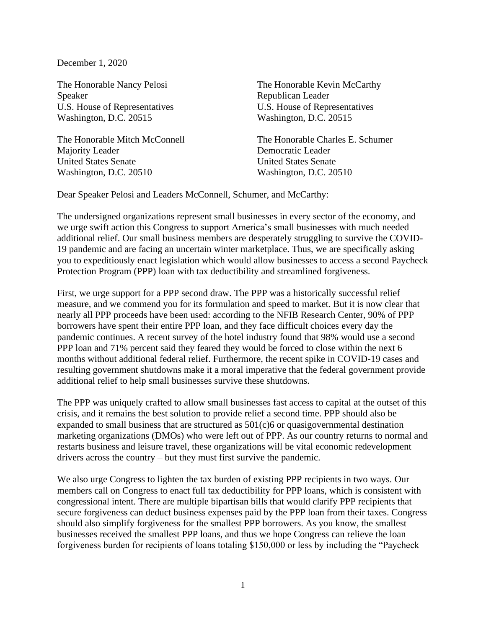December 1, 2020

The Honorable Nancy Pelosi Speaker U.S. House of Representatives Washington, D.C. 20515

The Honorable Mitch McConnell Majority Leader United States Senate Washington, D.C. 20510

The Honorable Kevin McCarthy Republican Leader U.S. House of Representatives Washington, D.C. 20515

The Honorable Charles E. Schumer Democratic Leader United States Senate Washington, D.C. 20510

Dear Speaker Pelosi and Leaders McConnell, Schumer, and McCarthy:

The undersigned organizations represent small businesses in every sector of the economy, and we urge swift action this Congress to support America's small businesses with much needed additional relief. Our small business members are desperately struggling to survive the COVID-19 pandemic and are facing an uncertain winter marketplace. Thus, we are specifically asking you to expeditiously enact legislation which would allow businesses to access a second Paycheck Protection Program (PPP) loan with tax deductibility and streamlined forgiveness.

First, we urge support for a PPP second draw. The PPP was a historically successful relief measure, and we commend you for its formulation and speed to market. But it is now clear that nearly all PPP proceeds have been used: according to the NFIB Research Center, 90% of PPP borrowers have spent their entire PPP loan, and they face difficult choices every day the pandemic continues. A recent survey of the hotel industry found that 98% would use a second PPP loan and 71% percent said they feared they would be forced to close within the next 6 months without additional federal relief. Furthermore, the recent spike in COVID-19 cases and resulting government shutdowns make it a moral imperative that the federal government provide additional relief to help small businesses survive these shutdowns.

The PPP was uniquely crafted to allow small businesses fast access to capital at the outset of this crisis, and it remains the best solution to provide relief a second time. PPP should also be expanded to small business that are structured as 501(c)6 or quasigovernmental destination marketing organizations (DMOs) who were left out of PPP. As our country returns to normal and restarts business and leisure travel, these organizations will be vital economic redevelopment drivers across the country – but they must first survive the pandemic.

We also urge Congress to lighten the tax burden of existing PPP recipients in two ways. Our members call on Congress to enact full tax deductibility for PPP loans, which is consistent with congressional intent. There are multiple bipartisan bills that would clarify PPP recipients that secure forgiveness can deduct business expenses paid by the PPP loan from their taxes. Congress should also simplify forgiveness for the smallest PPP borrowers. As you know, the smallest businesses received the smallest PPP loans, and thus we hope Congress can relieve the loan forgiveness burden for recipients of loans totaling \$150,000 or less by including the "Paycheck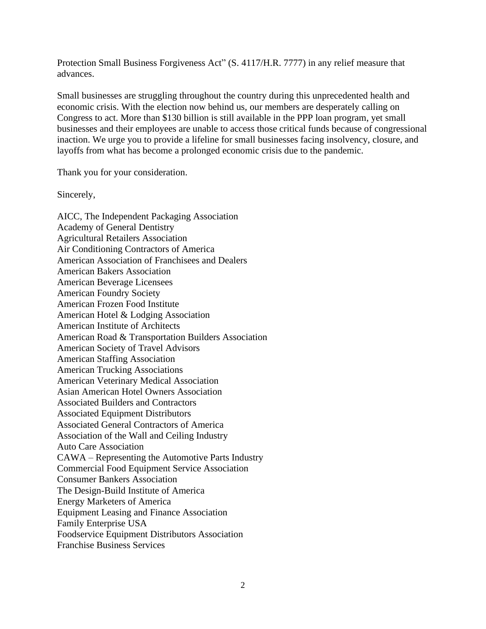Protection Small Business Forgiveness Act" (S. 4117/H.R. 7777) in any relief measure that advances.

Small businesses are struggling throughout the country during this unprecedented health and economic crisis. With the election now behind us, our members are desperately calling on Congress to act. More than \$130 billion is still available in the PPP loan program, yet small businesses and their employees are unable to access those critical funds because of congressional inaction. We urge you to provide a lifeline for small businesses facing insolvency, closure, and layoffs from what has become a prolonged economic crisis due to the pandemic.

Thank you for your consideration.

Sincerely,

AICC, The Independent Packaging Association Academy of General Dentistry Agricultural Retailers Association Air Conditioning Contractors of America American Association of Franchisees and Dealers American Bakers Association American Beverage Licensees American Foundry Society American Frozen Food Institute American Hotel & Lodging Association American Institute of Architects American Road & Transportation Builders Association American Society of Travel Advisors American Staffing Association American Trucking Associations American Veterinary Medical Association Asian American Hotel Owners Association Associated Builders and Contractors Associated Equipment Distributors Associated General Contractors of America Association of the Wall and Ceiling Industry Auto Care Association CAWA – Representing the Automotive Parts Industry Commercial Food Equipment Service Association Consumer Bankers Association The Design-Build Institute of America Energy Marketers of America Equipment Leasing and Finance Association Family Enterprise USA Foodservice Equipment Distributors Association Franchise Business Services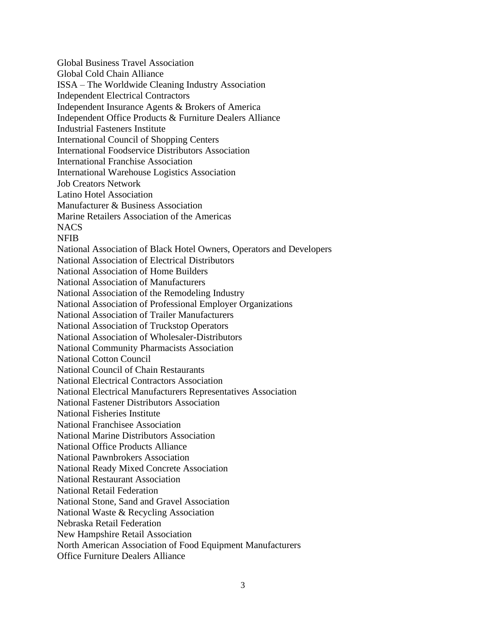Global Business Travel Association Global Cold Chain Alliance ISSA – The Worldwide Cleaning Industry Association Independent Electrical Contractors Independent Insurance Agents & Brokers of America Independent Office Products & Furniture Dealers Alliance Industrial Fasteners Institute International Council of Shopping Centers International Foodservice Distributors Association International Franchise Association International Warehouse Logistics Association Job Creators Network Latino Hotel Association Manufacturer & Business Association Marine Retailers Association of the Americas **NACS** NFIB National Association of Black Hotel Owners, Operators and Developers National Association of Electrical Distributors National Association of Home Builders National Association of Manufacturers National Association of the Remodeling Industry National Association of Professional Employer Organizations National Association of Trailer Manufacturers National Association of Truckstop Operators National Association of Wholesaler-Distributors National Community Pharmacists Association National Cotton Council National Council of Chain Restaurants National Electrical Contractors Association National Electrical Manufacturers Representatives Association National Fastener Distributors Association National Fisheries Institute National Franchisee Association National Marine Distributors Association National Office Products Alliance National Pawnbrokers Association National Ready Mixed Concrete Association National Restaurant Association National Retail Federation National Stone, Sand and Gravel Association National Waste & Recycling Association Nebraska Retail Federation New Hampshire Retail Association North American Association of Food Equipment Manufacturers Office Furniture Dealers Alliance